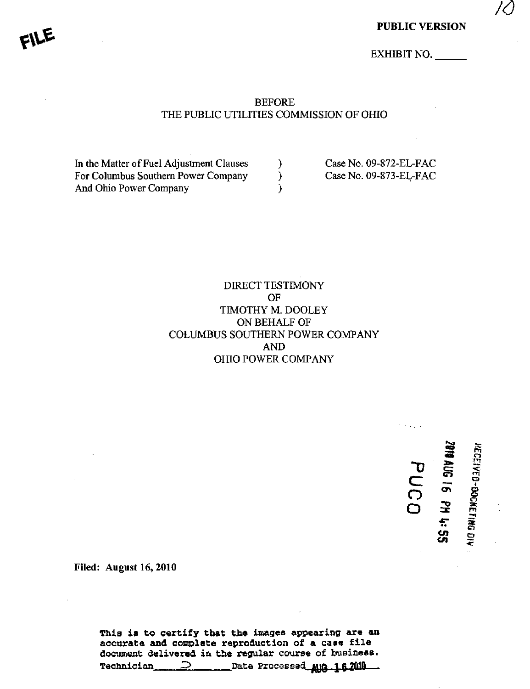10

EXHIBIT NO.

### BEFORE THE PUBLIC UTILITIES COMMISSION OF OHIO

In the Matter of Fuel Adjustment Clauses (a) Case No. 09-872-EL-FAC For Columbus Southern Power Company (Case No. 09-873-EL-FAC And Ohio Power Company (1999)

### DIRECT TESTIMONY OF TIMOTHY M. DOOLEY ON BEHALF OF COLUMBUS SOUTHERN POWER COMPANY AND OHIO POWER COMPANY

 $\simeq$  - $\mathbf{z}$ Gr> en 3 « - <u>یہ</u>

m r j m  $\tilde{\text{r}}$ 

 $\mathbf{g}_\mathrm{C}$ as:  $\bar{x}$  . o o

C/l

~D C

O o

Filed: August 16, 2010

This is to certify that the images appearing are an accurate and complate reproduction of a case file document delivered in the regular course of busiaess. Technician 2 Date Processed\_une 16.2010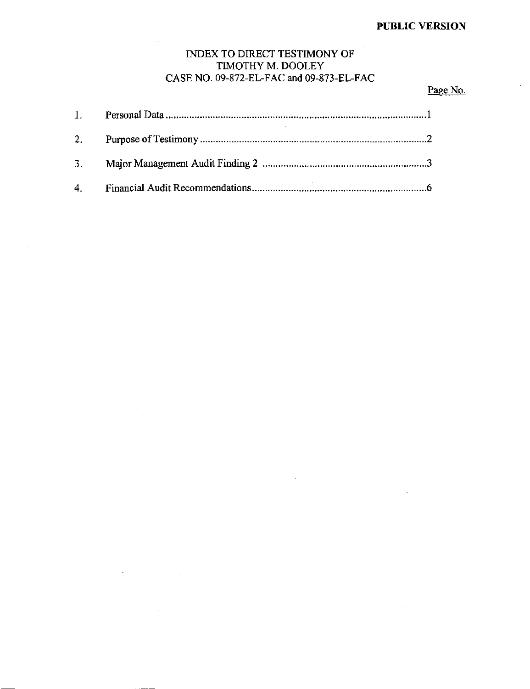## INDEX TO DIRECT TESTIMONY OF TIMOTHY M. DOOLEY CASE NO. 09-872-EL-FAC and 09-873-EL-FAC

## Page No.

| 2. |  |
|----|--|
|    |  |
|    |  |

 $\sim 10^7$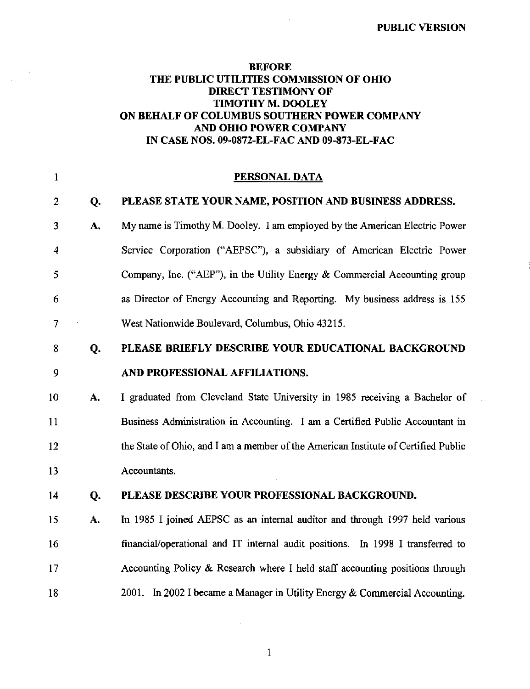## BEFORE THE PUBLIC UTILITIES COMMISSION OF OHIO DIRECT TESTIMONY OF TIMOTHY M, DOOLEY ON BEHALF OF COLUMBUS SOUTHERN POWER COMPANY AND OHIO POWER COMPANY IN CASE NOS. 09-0872-EL-FAC AND 09-873-EL-FAC

| $\mathbf{1}$     |    | PERSONAL DATA                                                                      |
|------------------|----|------------------------------------------------------------------------------------|
| $\overline{2}$   | Q. | PLEASE STATE YOUR NAME, POSITION AND BUSINESS ADDRESS.                             |
| 3                | A. | My name is Timothy M. Dooley. I am employed by the American Electric Power         |
| $\boldsymbol{4}$ |    | Service Corporation ("AEPSC"), a subsidiary of American Electric Power             |
| 5                |    | Company, Inc. ("AEP"), in the Utility Energy & Commercial Accounting group         |
| $\epsilon$       |    | as Director of Energy Accounting and Reporting. My business address is 155         |
| 7                |    | West Nationwide Boulevard, Columbus, Ohio 43215.                                   |
| 8                | Q. | PLEASE BRIEFLY DESCRIBE YOUR EDUCATIONAL BACKGROUND                                |
| 9                |    | AND PROFESSIONAL AFFILIATIONS.                                                     |
| 10               | A. | I graduated from Cleveland State University in 1985 receiving a Bachelor of        |
| 11               |    | Business Administration in Accounting. I am a Certified Public Accountant in       |
| 12               |    | the State of Ohio, and I am a member of the American Institute of Certified Public |
| 13               |    | Accountants.                                                                       |
| 14               | Q. | PLEASE DESCRIBE YOUR PROFESSIONAL BACKGROUND.                                      |
| 15               | A. | In 1985 I joined AEPSC as an internal auditor and through 1997 held various        |
| 16               |    | financial/operational and IT internal audit positions. In 1998 I transferred to    |
| 17               |    | Accounting Policy & Research where I held staff accounting positions through       |
| 18               |    | 2001. In 2002 I became a Manager in Utility Energy & Commercial Accounting.        |

 $\mathbf{1}$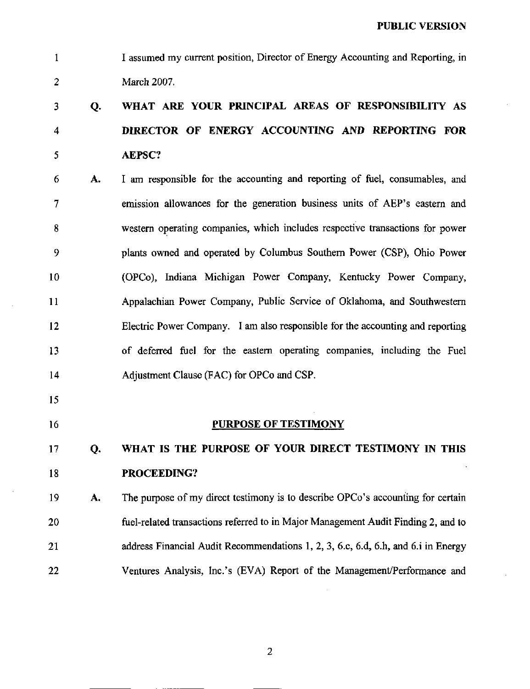1 I assumed my current position. Director of Energy Accounting and Reporting, in 2 March 2007.

# 3 Q. WHAT ARE YOUR PRINCIPAL AREAS OF RESPONSIBILITY AS 4 DIRECTOR OF ENERGY ACCOUNTING AND REPORTING FOR 5 AEPSC?

- 6 A. I am responsible for the accounting and reporting of fuel, consumables, and 7 emission allowances for the generation business units of AEP's eastern and 8 westem operating companies, which includes respective transactions for power 9 plants owned and operated by Columbus Southem Power (CSP), Ohio Power 10 (OPCo), Indiana Michigan Power Company, Kentucky Power Company, 11 Appalachian Power Company, Public Service of Oklahoma, and Southwestern 12 Electric Power Company. I am also responsible for the accounting and reporting 13 of deferred fuel for the eastem operating companies, including the Fuel 14 Adjustment Clause (FAC) for OPCo and CSP.
- 15
- 

### 16 PURPOSE OF TESTIMONY

## 17 Q. WHAT IS THE PURPOSE OF YOUR DIRECT TESTIMONY IN THIS 18 **PROCEEDING?**

19 A. The purpose of my direct testimony is to describe OPCo's accounting for certain 20 fuel-related transactions referred to in Major Management Audit Finding 2, and to 21 address Financial Audit Recommendations 1, 2, 3, 6.c, 6.d, 6.h, and 6.i in Energy 22 Ventures Analysis, Inc.'s (EVA) Report of the Management/Performance and

 $\overline{2}$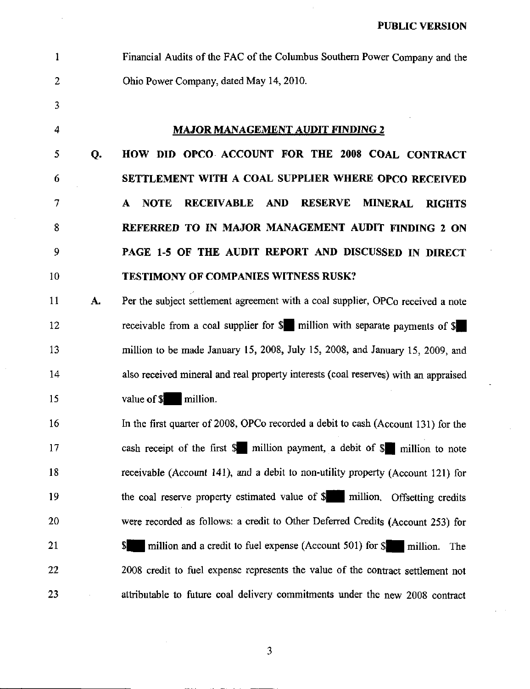1 Financial Audits of the FAC of the Columbus Southem Power Company and the 2 Ohio Power Company, dated May 14,2010.

3

### 4 MAJOR MANAGEMENT AUDIT FINDING 2

5 Q. HOW DID OPCO ACCOUNT FOR THE 2008 COAL CONTRACT 6 SETTLEMENT WITH A COAL SUPPLIER WHERE OPCO RECEIVED 7 A NOTE RECEIVABLE AND RESERVE MINERAL RIGHTS 8 REFERRED TO IN MAJOR MANAGEMENT AUDIT FINDING 2 ON 9 PAGE 1-5 OF THE AUDIT REPORT AND DISCUSSED IN DIRECT 10 **TESTIMONY OF COMPANIES WITNESS RUSK?** 

11 **A.** Per the subject settlement agreement with a coal supplier, OPCo received a note 12 receivable from a coal supplier for \$ | million with separate payments of \$ 13 million to be made January 15, 2008, July 15, 2008, and January 15, 2009, and 14 also received mineral and real property interests (coal reserves) with an appraised 15 value of \$| million.

16 In the first quarter of 2008, OPCo recorded a debit to cash (Account 131) for the 17 cash receipt of the first \$ | million payment, a debit of \$ | million to note 18 receivable (Account 141), and a debit to non-utility property (Account 121) for 19 the coal reserve property estimated value of \$ million. Offsetting credits 20 were recorded as follows: a credit to Other Deferred Credits (Account 253) for 21  $\frac{1}{\sqrt{2}}$   $\frac{1}{\sqrt{2}}$  million and a credit to fuel expense (Account 501) for  $\frac{1}{\sqrt{2}}$  million. The 22 2008 credit to fuel expense represents the value of the contract settlement not 23 attributable to future coal delivery commitments under the new 2008 contract

 $\overline{\mathbf{3}}$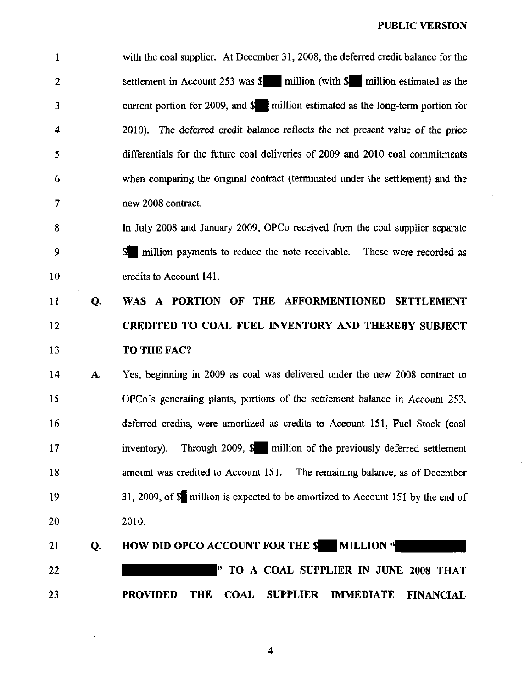1 with the coal suppher. At December 31, 2008, the deferred credit balance for the 2 settlement in Account 253 was  $\delta$  | million (with  $\delta$  | million estimated as the 3 current portion for 2009, and \$ B million estimated as the long-term portion for 4 2010). The deferred credit balance reflects the net present value of the price 5 differentials for the future coal deliveries of 2009 and 2010 coal commitments 6 when comparing the original contract (terminated under the settlement) and the 7 new 2008 contract.

8 In July 2008 and January 2009, OPCo received from the coal supplier separate 9 S | miUion payments to reduce the note receivable. These were recorded as 10 credits to Account 141.

# 11 Q. WAS A PORTION OF THE AFFORMENTIONED SETTLEMENT 12 CREDITED TO COAL FUEL INVENTORY AND THEREBY SUBJECT 13 **TO THE FAC?**

14 A. Yes, beginning in 2009 as coal was dehvered under the new 2008 contract to 15 OPCo's generating plants, portions of the settlement balance in Account 253, 16 deferred credits, were amortized as credits to Account 151, Fuel Stock (coal 17 inventory). Through 2009, \$ | million of the previously deferred settlement 18 amount was credited to Account 151. The remaining balance, as of December 19 31, 2009, of  $\frac{1}{2}$  million is expected to be amortized to Account 151 by the end of 20 2010.

## 21 Q. HOW DID OPCO ACCOUNT FOR THE \$ MILLION "

<sup>22</sup> TO A COAL SUPPLIER IN JUNE 2008 THAT 23 PROVIDED THE COAL SUPPLIER IMMEDIATE FINANCIAL

 $\overline{\mathbf{4}}$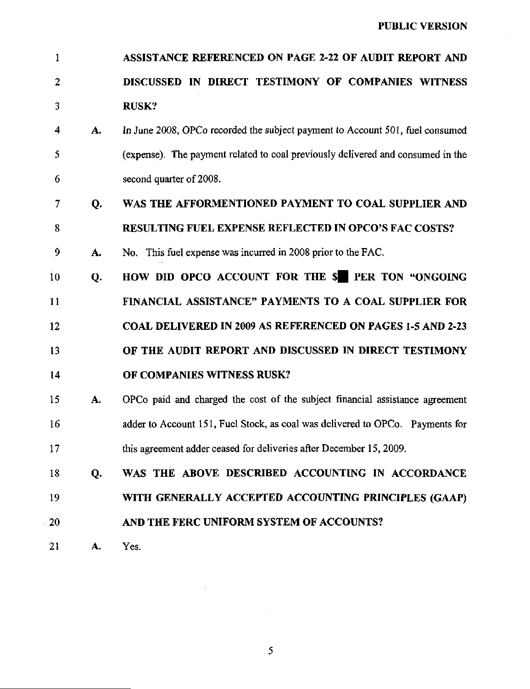| $\mathbf{1}$            |    | ASSISTANCE REFERENCED ON PAGE 2-22 OF AUDIT REPORT AND                          |
|-------------------------|----|---------------------------------------------------------------------------------|
| 2                       |    | DISCUSSED IN DIRECT TESTIMONY OF COMPANIES WITNESS                              |
| $\overline{\mathbf{3}}$ |    | <b>RUSK?</b>                                                                    |
| 4                       | A. | In June 2008, OPCo recorded the subject payment to Account 501, fuel consumed   |
| 5                       |    | (expense). The payment related to coal previously delivered and consumed in the |
| 6                       |    | second quarter of 2008.                                                         |
| 7                       | Q. | WAS THE AFFORMENTIONED PAYMENT TO COAL SUPPLIER AND                             |
| 8                       |    | <b>RESULTING FUEL EXPENSE REFLECTED IN OPCO'S FAC COSTS?</b>                    |
| 9                       | A. | No. This fuel expense was incurred in 2008 prior to the FAC.                    |
| 10                      | Q. | HOW DID OPCO ACCOUNT FOR THE \$PER TON "ONGOING                                 |
| 11                      |    | FINANCIAL ASSISTANCE" PAYMENTS TO A COAL SUPPLIER FOR                           |
| 12                      |    | <b>COAL DELIVERED IN 2009 AS REFERENCED ON PAGES 1-5 AND 2-23</b>               |
| 13                      |    | OF THE AUDIT REPORT AND DISCUSSED IN DIRECT TESTIMONY                           |
| 14                      |    | OF COMPANIES WITNESS RUSK?                                                      |
| 15                      | A. | OPCo paid and charged the cost of the subject financial assistance agreement    |
| 16                      |    | adder to Account 151, Fuel Stock, as coal was delivered to OPCo. Payments for   |
| 17                      |    | this agreement adder ceased for deliveries after December 15, 2009.             |
| 18                      | Q. | WAS THE ABOVE DESCRIBED ACCOUNTING IN ACCORDANCE                                |
| 19                      |    | WITH GENERALLY ACCEPTED ACCOUNTING PRINCIPLES (GAAP)                            |
| 20                      |    | AND THE FERC UNIFORM SYSTEM OF ACCOUNTS?                                        |
| 21                      | A. | Yes.                                                                            |

 $\mathcal{S}_{\mathcal{S}}$ 

 $\sim$ 

 $\Delta \chi$  .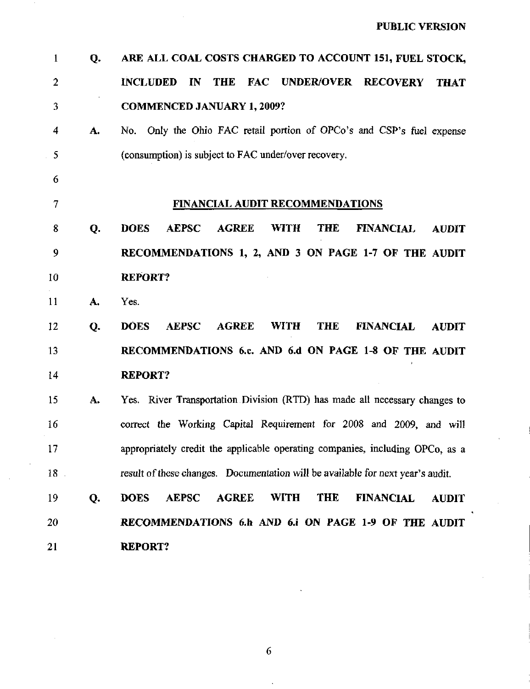| $\mathbf{1}$   | Q. | ARE ALL COAL COSTS CHARGED TO ACCOUNT 151, FUEL STOCK,                                                       |
|----------------|----|--------------------------------------------------------------------------------------------------------------|
| $\overline{2}$ |    | <b>THE</b><br>UNDER/OVER RECOVERY<br><b>INCLUDED</b><br>IN<br><b>FAC</b><br><b>THAT</b>                      |
| 3              |    | <b>COMMENCED JANUARY 1, 2009?</b>                                                                            |
| 4              | A. | No. Only the Ohio FAC retail portion of OPCo's and CSP's fuel expense                                        |
| 5              |    | (consumption) is subject to FAC under/over recovery.                                                         |
| 6              |    |                                                                                                              |
| 7              |    | <b>FINANCIAL AUDIT RECOMMENDATIONS</b>                                                                       |
| 8              | Q. | <b>DOES</b><br><b>AEPSC</b><br><b>AGREE</b><br><b>WITH</b><br><b>THE</b><br><b>FINANCIAL</b><br><b>AUDIT</b> |
| 9              |    | RECOMMENDATIONS 1, 2, AND 3 ON PAGE 1-7 OF THE AUDIT                                                         |
| 10             |    | <b>REPORT?</b>                                                                                               |
| 11             | A. | Yes.                                                                                                         |
| 12             | Q. | <b>AGREE</b><br><b>DOES</b><br><b>AEPSC</b><br><b>WITH</b><br><b>THE</b><br><b>FINANCIAL</b><br><b>AUDIT</b> |
| 13             |    | RECOMMENDATIONS 6.c. AND 6.d ON PAGE 1-8 OF THE AUDIT                                                        |
| 14             |    | <b>REPORT?</b>                                                                                               |
| 15             | A. | Yes. River Transportation Division (RTD) has made all necessary changes to                                   |
| 16             |    | correct the Working Capital Requirement for 2008 and 2009, and will                                          |
| 17             |    | appropriately credit the applicable operating companies, including OPCo, as a                                |
| $18$ .         |    | result of these changes. Documentation will be available for next year's audit.                              |
| 19             | Q. | <b>WITH</b><br><b>THE</b><br><b>DOES</b><br><b>AEPSC</b><br><b>AGREE</b><br><b>FINANCIAL</b><br><b>AUDIT</b> |
| 20             |    | RECOMMENDATIONS 6.h AND 6.i ON PAGE 1-9 OF THE AUDIT                                                         |
| 21             |    | <b>REPORT?</b>                                                                                               |

 $\epsilon$ 

 $\overline{6}$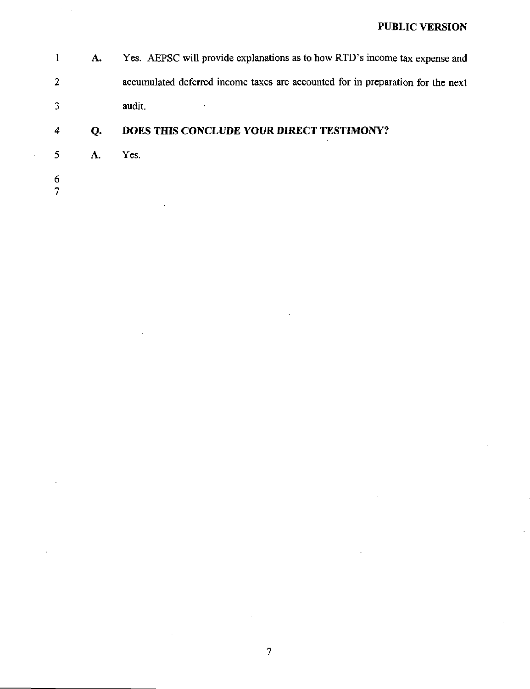1 A. Yes. AEPSC wiU provide explanations as to how RTD's income tax expense and 2 accumulated deferred income taxes are accounted for in preparation for the next 3 audit.

## 4 Q. DOES THIS CONCLUDE YOUR DIRECT TESTIMONY?

- 5 A. Yes.
- 6 7

 $\hat{\boldsymbol{\beta}}$